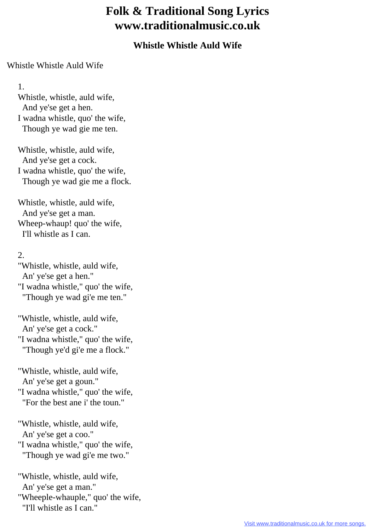## **Folk & Traditional Song Lyrics www.traditionalmusic.co.uk**

## **Whistle Whistle Auld Wife**

## Whistle Whistle Auld Wife

1.

 Whistle, whistle, auld wife, And ye'se get a hen. I wadna whistle, quo' the wife, Though ye wad gie me ten.

 Whistle, whistle, auld wife, And ye'se get a cock. I wadna whistle, quo' the wife, Though ye wad gie me a flock.

 Whistle, whistle, auld wife, And ye'se get a man. Wheep-whaup! quo' the wife, I'll whistle as I can.

## 2.

 "Whistle, whistle, auld wife, An' ye'se get a hen." "I wadna whistle," quo' the wife, "Though ye wad gi'e me ten."

 "Whistle, whistle, auld wife, An' ye'se get a cock."

 "I wadna whistle," quo' the wife, "Though ye'd gi'e me a flock."

 "Whistle, whistle, auld wife, An' ye'se get a goun." "I wadna whistle," quo' the wife,

"For the best ane i' the toun."

 "Whistle, whistle, auld wife, An' ye'se get a coo." "I wadna whistle," quo' the wife, "Though ye wad gi'e me two."

 "Whistle, whistle, auld wife, An' ye'se get a man." "Wheeple-whauple," quo' the wife, "I'll whistle as I can."